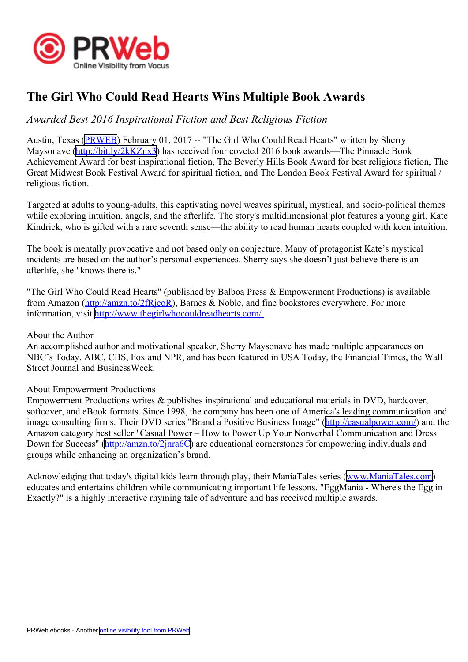

# **The Girl Who Could Read Hearts Wins Multiple Book Awards**

# *Awarded Best 2016 Inspirational Fiction and Best Religious Fiction*

Austin, Texas ([PRWEB](http://www.prweb.com)) February 01, 2017 -- "The Girl Who Could Read Hearts" written by Sherry Maysonave [\(http://bit.ly/2kKZnx3](http://bit.ly/2kKZnx3)) has received four coveted 2016 book awards—The Pinnacle Book Achievement Award for best inspirational fiction, The Beverly Hills Book Award for best religious fiction, The Great Midwest Book Festival Award for spiritual fiction, and The London Book Festival Award for spiritual / religious fiction.

Targeted at adults to young-adults, this captivating novel weaves spiritual, mystical, and socio-political themes while exploring intuition, angels, and the afterlife. The story's multidimensional plot features <sup>a</sup> young girl, Kate Kindrick, who is gifted with <sup>a</sup> rare seventh sense—the ability to read human hearts coupled with keen intuition.

The book is mentally provocative and not based only on conjecture. Many of protagonist Kate's mystical incidents are based on the author's personal experiences. Sherry says she doesn't just believe there is an afterlife, she "knows there is."

"The Girl Who Could Read Hearts" (published by Balboa Press & Empowerment Productions) is available from Amazon (<http://amzn.to/2fRjeoR>), Barnes & Noble, and fine bookstores everywhere. For more information, visit <http://www.thegirlwhocouldreadhearts.com/>

#### About the Author

An accomplished author and motivational speaker, Sherry Maysonave has made multiple appearances on NBC's Today, ABC, CBS, Fox and NPR, and has been featured in USA Today, the Financial Times, the Wall Street Journal and BusinessWeek.

### About Empowerment Productions

Empowerment Productions writes & publishes inspirational and educational materials in DVD, hardcover, softcover, and eBook formats. Since 1998, the company has been one of America's leading communication and image consulting firms. Their DVD series "Brand <sup>a</sup> Positive Business Image" (<http://casualpower.com/>) and the Amazon category best seller "Casual Power – How to Power Up Your Nonverbal Communication and Dress Down for Success" (<http://amzn.to/2jnra6C>) are educational cornerstones for empowering individuals and groups while enhancing an organization's brand.

Acknowledging that today's digital kids learn through play, their ManiaTales series ([www.ManiaTales.com](http://www.ManiaTales.com)) educates and entertains children while communicating important life lessons. "EggMania - Where's the Egg in Exactly?" is <sup>a</sup> highly interactive rhyming tale of adventure and has received multiple awards.